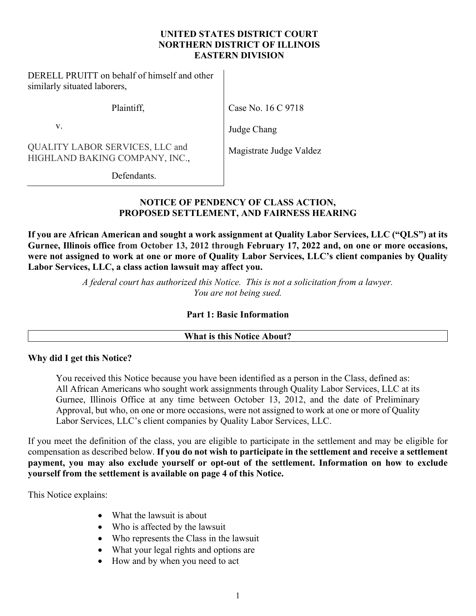#### **UNITED STATES DISTRICT COURT NORTHERN DISTRICT OF ILLINOIS EASTERN DIVISION**

 $\overline{\phantom{a}}$ 

 $\overline{\phantom{a}}$ 

DERELL PRUITT on behalf of himself and other similarly situated laborers,

Plaintiff,

Case No. 16 C 9718

v.

Judge Chang

QUALITY LABOR SERVICES, LLC and HIGHLAND BAKING COMPANY, INC.,

Magistrate Judge Valdez

Defendants.

# **NOTICE OF PENDENCY OF CLASS ACTION, PROPOSED SETTLEMENT, AND FAIRNESS HEARING**

**If you are African American and sought a work assignment at Quality Labor Services, LLC ("QLS") at its Gurnee, Illinois office from October 13, 2012 through February 17, 2022 and, on one or more occasions, were not assigned to work at one or more of Quality Labor Services, LLC's client companies by Quality Labor Services, LLC, a class action lawsuit may affect you.** 

> *A federal court has authorized this Notice. This is not a solicitation from a lawyer. You are not being sued.*

## **Part 1: Basic Information**

## **What is this Notice About?**

# **Why did I get this Notice?**

You received this Notice because you have been identified as a person in the Class, defined as: All African Americans who sought work assignments through Quality Labor Services, LLC at its Gurnee, Illinois Office at any time between October 13, 2012, and the date of Preliminary Approval, but who, on one or more occasions, were not assigned to work at one or more of Quality Labor Services, LLC's client companies by Quality Labor Services, LLC.

If you meet the definition of the class, you are eligible to participate in the settlement and may be eligible for compensation as described below. **If you do not wish to participate in the settlement and receive a settlement payment, you may also exclude yourself or opt-out of the settlement. Information on how to exclude yourself from the settlement is available on page 4 of this Notice.**

This Notice explains:

- What the lawsuit is about
- Who is affected by the lawsuit
- Who represents the Class in the lawsuit
- What your legal rights and options are
- How and by when you need to act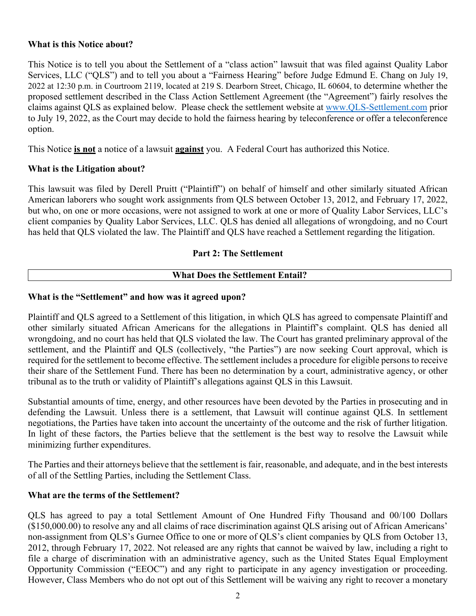### **What is this Notice about?**

This Notice is to tell you about the Settlement of a "class action" lawsuit that was filed against Quality Labor Services, LLC ("QLS") and to tell you about a "Fairness Hearing" before Judge Edmund E. Chang on July 19, 2022 at 12:30 p.m. in Courtroom 2119, located at 219 S. Dearborn Street, Chicago, IL 60604, to determine whether the proposed settlement described in the Class Action Settlement Agreement (the "Agreement") fairly resolves the claims against QLS as explained below. Please check the settlement website at [www.QLS-Settlement.com](http://www.qls-settlement.com/) prior to July 19, 2022, as the Court may decide to hold the fairness hearing by teleconference or offer a teleconference option.

This Notice **is not** a notice of a lawsuit **against** you. A Federal Court has authorized this Notice.

## **What is the Litigation about?**

This lawsuit was filed by Derell Pruitt ("Plaintiff") on behalf of himself and other similarly situated African American laborers who sought work assignments from QLS between October 13, 2012, and February 17, 2022, but who, on one or more occasions, were not assigned to work at one or more of Quality Labor Services, LLC's client companies by Quality Labor Services, LLC. QLS has denied all allegations of wrongdoing, and no Court has held that QLS violated the law. The Plaintiff and QLS have reached a Settlement regarding the litigation.

### **Part 2: The Settlement**

### **What Does the Settlement Entail?**

### **What is the "Settlement" and how was it agreed upon?**

Plaintiff and QLS agreed to a Settlement of this litigation, in which QLS has agreed to compensate Plaintiff and other similarly situated African Americans for the allegations in Plaintiff's complaint. QLS has denied all wrongdoing, and no court has held that QLS violated the law. The Court has granted preliminary approval of the settlement, and the Plaintiff and QLS (collectively, "the Parties") are now seeking Court approval, which is required for the settlement to become effective. The settlement includes a procedure for eligible persons to receive their share of the Settlement Fund. There has been no determination by a court, administrative agency, or other tribunal as to the truth or validity of Plaintiff's allegations against QLS in this Lawsuit.

Substantial amounts of time, energy, and other resources have been devoted by the Parties in prosecuting and in defending the Lawsuit. Unless there is a settlement, that Lawsuit will continue against QLS. In settlement negotiations, the Parties have taken into account the uncertainty of the outcome and the risk of further litigation. In light of these factors, the Parties believe that the settlement is the best way to resolve the Lawsuit while minimizing further expenditures.

The Parties and their attorneys believe that the settlement is fair, reasonable, and adequate, and in the best interests of all of the Settling Parties, including the Settlement Class.

#### **What are the terms of the Settlement?**

QLS has agreed to pay a total Settlement Amount of One Hundred Fifty Thousand and 00/100 Dollars (\$150,000.00) to resolve any and all claims of race discrimination against QLS arising out of African Americans' non-assignment from QLS's Gurnee Office to one or more of QLS's client companies by QLS from October 13, 2012, through February 17, 2022. Not released are any rights that cannot be waived by law, including a right to file a charge of discrimination with an administrative agency, such as the United States Equal Employment Opportunity Commission ("EEOC") and any right to participate in any agency investigation or proceeding. However, Class Members who do not opt out of this Settlement will be waiving any right to recover a monetary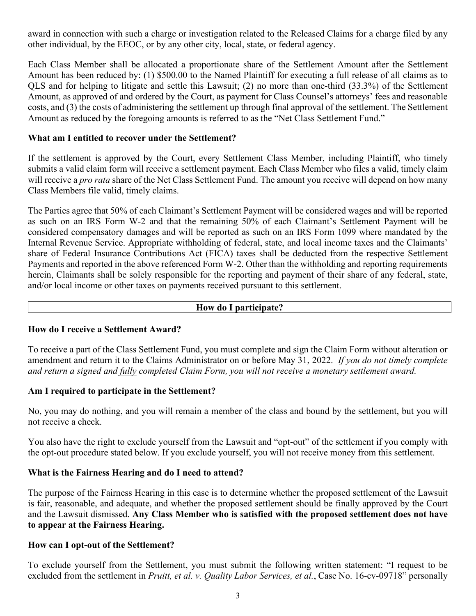award in connection with such a charge or investigation related to the Released Claims for a charge filed by any other individual, by the EEOC, or by any other city, local, state, or federal agency.

Each Class Member shall be allocated a proportionate share of the Settlement Amount after the Settlement Amount has been reduced by: (1) \$500.00 to the Named Plaintiff for executing a full release of all claims as to QLS and for helping to litigate and settle this Lawsuit; (2) no more than one-third (33.3%) of the Settlement Amount, as approved of and ordered by the Court, as payment for Class Counsel's attorneys' fees and reasonable costs, and (3) the costs of administering the settlement up through final approval of the settlement. The Settlement Amount as reduced by the foregoing amounts is referred to as the "Net Class Settlement Fund."

### **What am I entitled to recover under the Settlement?**

If the settlement is approved by the Court, every Settlement Class Member, including Plaintiff, who timely submits a valid claim form will receive a settlement payment. Each Class Member who files a valid, timely claim will receive a *pro rata* share of the Net Class Settlement Fund. The amount you receive will depend on how many Class Members file valid, timely claims.

The Parties agree that 50% of each Claimant's Settlement Payment will be considered wages and will be reported as such on an IRS Form W-2 and that the remaining 50% of each Claimant's Settlement Payment will be considered compensatory damages and will be reported as such on an IRS Form 1099 where mandated by the Internal Revenue Service. Appropriate withholding of federal, state, and local income taxes and the Claimants' share of Federal Insurance Contributions Act (FICA) taxes shall be deducted from the respective Settlement Payments and reported in the above referenced Form W-2. Other than the withholding and reporting requirements herein, Claimants shall be solely responsible for the reporting and payment of their share of any federal, state, and/or local income or other taxes on payments received pursuant to this settlement.

#### **How do I participate?**

#### **How do I receive a Settlement Award?**

To receive a part of the Class Settlement Fund, you must complete and sign the Claim Form without alteration or amendment and return it to the Claims Administrator on or before May 31, 2022. *If you do not timely complete and return a signed and fully completed Claim Form, you will not receive a monetary settlement award.*

#### **Am I required to participate in the Settlement?**

No, you may do nothing, and you will remain a member of the class and bound by the settlement, but you will not receive a check.

You also have the right to exclude yourself from the Lawsuit and "opt-out" of the settlement if you comply with the opt-out procedure stated below. If you exclude yourself, you will not receive money from this settlement.

## **What is the Fairness Hearing and do I need to attend?**

The purpose of the Fairness Hearing in this case is to determine whether the proposed settlement of the Lawsuit is fair, reasonable, and adequate, and whether the proposed settlement should be finally approved by the Court and the Lawsuit dismissed. **Any Class Member who is satisfied with the proposed settlement does not have to appear at the Fairness Hearing.**

#### **How can I opt-out of the Settlement?**

To exclude yourself from the Settlement, you must submit the following written statement: "I request to be excluded from the settlement in *Pruitt, et al. v. Quality Labor Services, et al.*, Case No. 16-cv-09718" personally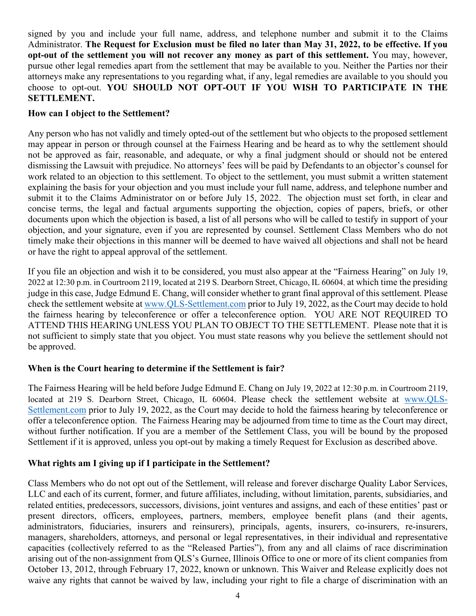signed by you and include your full name, address, and telephone number and submit it to the Claims Administrator. **The Request for Exclusion must be filed no later than May 31, 2022, to be effective. If you opt-out of the settlement you will not recover any money as part of this settlement.** You may, however, pursue other legal remedies apart from the settlement that may be available to you. Neither the Parties nor their attorneys make any representations to you regarding what, if any, legal remedies are available to you should you choose to opt-out. **YOU SHOULD NOT OPT-OUT IF YOU WISH TO PARTICIPATE IN THE SETTLEMENT.**

## **How can I object to the Settlement?**

Any person who has not validly and timely opted-out of the settlement but who objects to the proposed settlement may appear in person or through counsel at the Fairness Hearing and be heard as to why the settlement should not be approved as fair, reasonable, and adequate, or why a final judgment should or should not be entered dismissing the Lawsuit with prejudice. No attorneys' fees will be paid by Defendants to an objector's counsel for work related to an objection to this settlement. To object to the settlement, you must submit a written statement explaining the basis for your objection and you must include your full name, address, and telephone number and submit it to the Claims Administrator on or before July 15, 2022. The objection must set forth, in clear and concise terms, the legal and factual arguments supporting the objection, copies of papers, briefs, or other documents upon which the objection is based, a list of all persons who will be called to testify in support of your objection, and your signature, even if you are represented by counsel. Settlement Class Members who do not timely make their objections in this manner will be deemed to have waived all objections and shall not be heard or have the right to appeal approval of the settlement.

If you file an objection and wish it to be considered, you must also appear at the "Fairness Hearing" on July 19, 2022 at 12:30 p.m. in Courtroom 2119, located at 219 S. Dearborn Street, Chicago, IL 60604, at which time the presiding judge in this case, Judge Edmund E. Chang, will consider whether to grant final approval of this settlement. Please check the settlement website at [www.QLS-Settlement.com](http://www.qls-settlement.com/) prior to July 19, 2022, as the Court may decide to hold the fairness hearing by teleconference or offer a teleconference option. YOU ARE NOT REQUIRED TO ATTEND THIS HEARING UNLESS YOU PLAN TO OBJECT TO THE SETTLEMENT. Please note that it is not sufficient to simply state that you object. You must state reasons why you believe the settlement should not be approved.

## **When is the Court hearing to determine if the Settlement is fair?**

The Fairness Hearing will be held before Judge Edmund E. Chang on July 19, 2022 at 12:30 p.m. in Courtroom 2119, located at 219 S. Dearborn Street, Chicago, IL 60604. Please check the settlement website at www.OLS-[Settlement.com](http://www.qls-settlement.com/) prior to July 19, 2022, as the Court may decide to hold the fairness hearing by teleconference or offer a teleconference option. The Fairness Hearing may be adjourned from time to time as the Court may direct, without further notification. If you are a member of the Settlement Class, you will be bound by the proposed Settlement if it is approved, unless you opt-out by making a timely Request for Exclusion as described above.

# **What rights am I giving up if I participate in the Settlement?**

Class Members who do not opt out of the Settlement, will release and forever discharge Quality Labor Services, LLC and each of its current, former, and future affiliates, including, without limitation, parents, subsidiaries, and related entities, predecessors, successors, divisions, joint ventures and assigns, and each of these entities' past or present directors, officers, employees, partners, members, employee benefit plans (and their agents, administrators, fiduciaries, insurers and reinsurers), principals, agents, insurers, co-insurers, re-insurers, managers, shareholders, attorneys, and personal or legal representatives, in their individual and representative capacities (collectively referred to as the "Released Parties"), from any and all claims of race discrimination arising out of the non-assignment from QLS's Gurnee, Illinois Office to one or more of its client companies from October 13, 2012, through February 17, 2022, known or unknown. This Waiver and Release explicitly does not waive any rights that cannot be waived by law, including your right to file a charge of discrimination with an